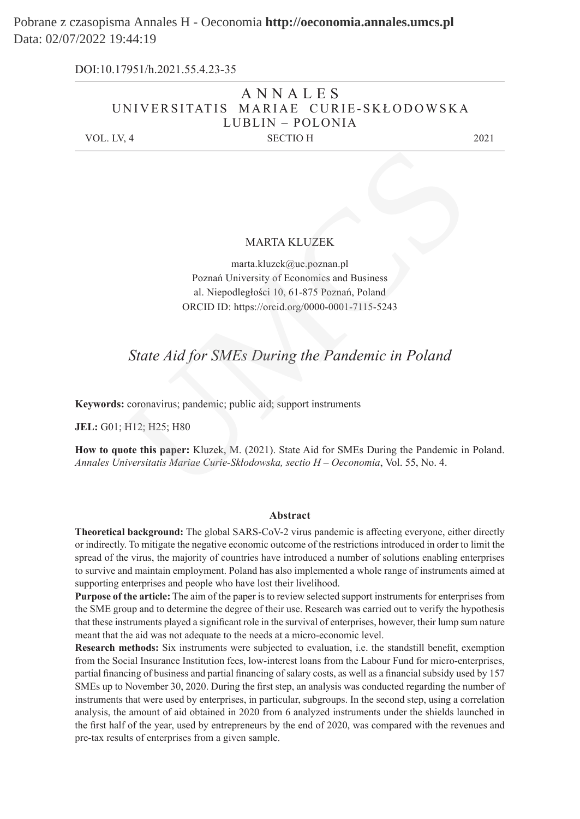Pobrane z czasopisma Annales H - Oeconomia **http://oeconomia.annales.umcs.pl** Data: 02/07/2022 19:44:19

> ANNALES UNIVERSITATIS MARIAE CURIE-SKŁODOWSKA LUBLIN – POLONIA VOL. LV, 4 SECTIO H 2021 DOI:10.17951/h.2021.55.4.23-35

#### MARTA KLUZEK

marta.kluzek@ue.poznan.pl Poznań University of Economics and Business al. Niepodległości 10, 61-875 Poznań, Poland ORCID ID: https://orcid.org/0000-0001-7115-5243 MARTA KLUZEK<br>
marta.kluzek@ue.poznan.pl<br>
Poznań University of Economics and Business<br>
al. Niepodległości 10, 61-875 Poznań, Poland<br>
ORCID ID: https://orcid.org/0000-0001-7115-5243<br>
State Aid for SMEs During the Pandemic in

# *State Aid for SMEs During the Pandemic in Poland*

**Keywords:** coronavirus; pandemic; public aid; support instruments

**JEL:** G01; H12; H25; H80

**How to quote this paper:** Kluzek, M. (2021). State Aid for SMEs During the Pandemic in Poland. *Annales Universitatis Mariae Curie-Skłodowska, sectio H – Oeconomia*, Vol. 55, No. 4.

#### **Abstract**

**Theoretical background:** The global SARS-CoV-2 virus pandemic is affecting everyone, either directly or indirectly. To mitigate the negative economic outcome of the restrictions introduced in order to limit the spread of the virus, the majority of countries have introduced a number of solutions enabling enterprises to survive and maintain employment. Poland has also implemented a whole range of instruments aimed at supporting enterprises and people who have lost their livelihood.

**Purpose of the article:** The aim of the paper is to review selected support instruments for enterprises from the SME group and to determine the degree of their use. Research was carried out to verify the hypothesis that these instruments played a significant role in the survival of enterprises, however, their lump sum nature meant that the aid was not adequate to the needs at a micro-economic level.

**Research methods:** Six instruments were subjected to evaluation, i.e. the standstill benefit, exemption from the Social Insurance Institution fees, low-interest loans from the Labour Fund for micro-enterprises, partial financing of business and partial financing of salary costs, as well as a financial subsidy used by 157 SMEs up to November 30, 2020. During the first step, an analysis was conducted regarding the number of instruments that were used by enterprises, in particular, subgroups. In the second step, using a correlation analysis, the amount of aid obtained in 2020 from 6 analyzed instruments under the shields launched in the first half of the year, used by entrepreneurs by the end of 2020, was compared with the revenues and pre-tax results of enterprises from a given sample.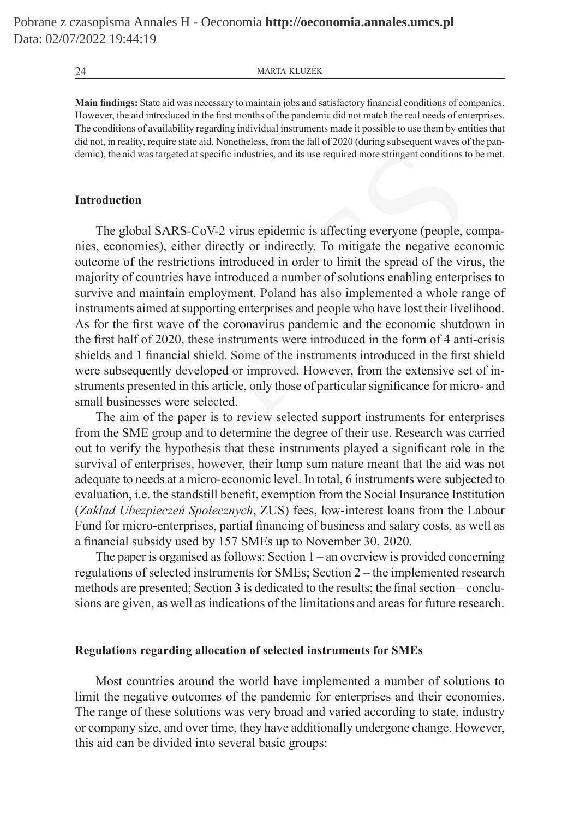**Main findings:** State aid was necessary to maintain jobs and satisfactory financial conditions of companies. However, the aid introduced in the first months of the pandemic did not match the real needs of enterprises. The conditions of availability regarding individual instruments made it possible to use them by entities that did not, in reality, require state aid. Nonetheless, from the fall of 2020 (during subsequent waves of the pandemic), the aid was targeted at specific industries, and its use required more stringent conditions to be met.

## **Introduction**

The global SARS-CoV-2 virus epidemic is affecting everyone (people, companies, economies), either directly or indirectly. To mitigate the negative economic outcome of the restrictions introduced in order to limit the spread of the virus, the majority of countries have introduced a number of solutions enabling enterprises to survive and maintain employment. Poland has also implemented a whole range of instruments aimed at supporting enterprises and people who have lost their livelihood. As for the first wave of the coronavirus pandemic and the economic shutdown in the first half of 2020, these instruments were introduced in the form of 4 anti-crisis shields and 1 financial shield. Some of the instruments introduced in the first shield were subsequently developed or improved. However, from the extensive set of instruments presented in this article, only those of particular significance for micro- and small businesses were selected. aid was targeted at specific industries, and its use required more stringent conditions to<br> **(a)** global SARS-CoV-2 virus epidemic is affecting everyone (people, c<br>
nomies), either directly or indirectly. To mitigate the n

The aim of the paper is to review selected support instruments for enterprises from the SME group and to determine the degree of their use. Research was carried out to verify the hypothesis that these instruments played a significant role in the survival of enterprises, however, their lump sum nature meant that the aid was not adequate to needs at a micro-economic level. In total, 6 instruments were subjected to evaluation, i.e. the standstill benefit, exemption from the Social Insurance Institution (*Zakład Ubezpieczeń Społecznych*, ZUS) fees, low-interest loans from the Labour Fund for micro-enterprises, partial financing of business and salary costs, as well as a financial subsidy used by 157 SMEs up to November 30, 2020.

The paper is organised as follows: Section 1 – an overview is provided concerning regulations of selected instruments for SMEs; Section 2 – the implemented research methods are presented; Section 3 is dedicated to the results; the final section – conclusions are given, as well as indications of the limitations and areas for future research.

## **Regulations regarding allocation of selected instruments for SMEs**

Most countries around the world have implemented a number of solutions to limit the negative outcomes of the pandemic for enterprises and their economies. The range of these solutions was very broad and varied according to state, industry or company size, and over time, they have additionally undergone change. However, this aid can be divided into several basic groups: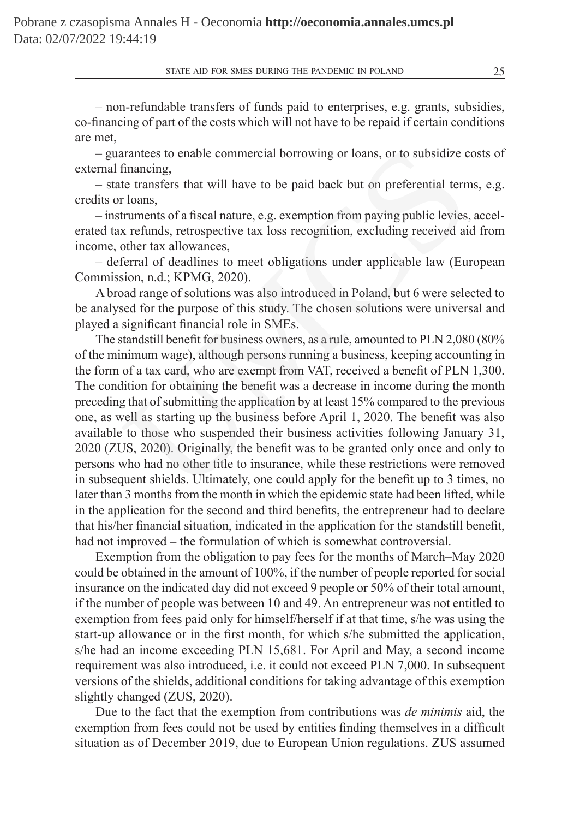– non-refundable transfers of funds paid to enterprises, e.g. grants, subsidies, co-financing of part of the costs which will not have to be repaid if certain conditions are met,

– guarantees to enable commercial borrowing or loans, or to subsidize costs of external financing,

– state transfers that will have to be paid back but on preferential terms, e.g. credits or loans,

– instruments of a fiscal nature, e.g. exemption from paying public levies, accelerated tax refunds, retrospective tax loss recognition, excluding received aid from income, other tax allowances,

– deferral of deadlines to meet obligations under applicable law (European Commission, n.d.; KPMG, 2020).

A broad range of solutions was also introduced in Poland, but 6 were selected to be analysed for the purpose of this study. The chosen solutions were universal and played a significant financial role in SMEs.

The standstill benefit for business owners, as a rule, amounted to PLN 2,080 (80% of the minimum wage), although persons running a business, keeping accounting in the form of a tax card, who are exempt from VAT, received a benefit of PLN 1,300. The condition for obtaining the benefit was a decrease in income during the month preceding that of submitting the application by at least 15% compared to the previous one, as well as starting up the business before April 1, 2020. The benefit was also available to those who suspended their business activities following January 31, 2020 (ZUS, 2020). Originally, the benefit was to be granted only once and only to persons who had no other title to insurance, while these restrictions were removed in subsequent shields. Ultimately, one could apply for the benefit up to 3 times, no later than 3 months from the month in which the epidemic state had been lifted, while in the application for the second and third benefits, the entrepreneur had to declare that his/her financial situation, indicated in the application for the standstill benefit, had not improved – the formulation of which is somewhat controversial. arantees to enable commercial borrowing or loans, or to subsidize c<br>financing,<br>the transfers that will have to be paid back but on preferential tern<br>rloans,<br>rloans,<br>rloans,<br>retrands, retrospective tax loss recognition, exc

Exemption from the obligation to pay fees for the months of March–May 2020 could be obtained in the amount of 100%, if the number of people reported for social insurance on the indicated day did not exceed 9 people or 50% of their total amount, if the number of people was between 10 and 49. An entrepreneur was not entitled to exemption from fees paid only for himself/herself if at that time, s/he was using the start-up allowance or in the first month, for which s/he submitted the application, s/he had an income exceeding PLN 15,681. For April and May, a second income requirement was also introduced, i.e. it could not exceed PLN 7,000. In subsequent versions of the shields, additional conditions for taking advantage of this exemption slightly changed (ZUS, 2020).

Due to the fact that the exemption from contributions was *de minimis* aid, the exemption from fees could not be used by entities finding themselves in a difficult situation as of December 2019, due to European Union regulations. ZUS assumed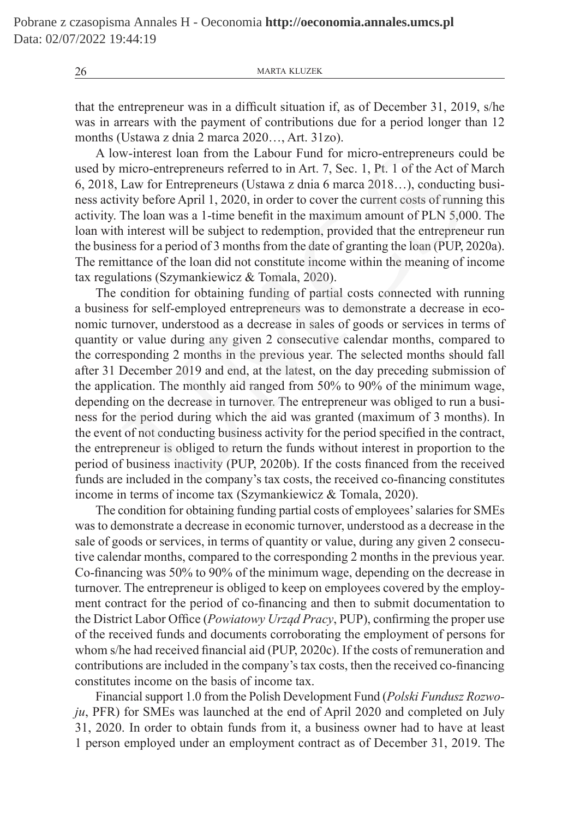that the entrepreneur was in a difficult situation if, as of December 31, 2019, s/he was in arrears with the payment of contributions due for a period longer than 12 months (Ustawa z dnia 2 marca 2020…, Art. 31zo).

A low-interest loan from the Labour Fund for micro-entrepreneurs could be used by micro-entrepreneurs referred to in Art. 7, Sec. 1, Pt. 1 of the Act of March 6, 2018, Law for Entrepreneurs (Ustawa z dnia 6 marca 2018…), conducting business activity before April 1, 2020, in order to cover the current costs of running this activity. The loan was a 1-time benefit in the maximum amount of PLN 5,000. The loan with interest will be subject to redemption, provided that the entrepreneur run the business for a period of 3 months from the date of granting the loan (PUP, 2020a). The remittance of the loan did not constitute income within the meaning of income tax regulations (Szymankiewicz & Tomala, 2020).

The condition for obtaining funding of partial costs connected with running a business for self-employed entrepreneurs was to demonstrate a decrease in economic turnover, understood as a decrease in sales of goods or services in terms of quantity or value during any given 2 consecutive calendar months, compared to the corresponding 2 months in the previous year. The selected months should fall after 31 December 2019 and end, at the latest, on the day preceding submission of the application. The monthly aid ranged from 50% to 90% of the minimum wage, depending on the decrease in turnover. The entrepreneur was obliged to run a business for the period during which the aid was granted (maximum of 3 months). In the event of not conducting business activity for the period specified in the contract, the entrepreneur is obliged to return the funds without interest in proportion to the period of business inactivity (PUP, 2020b). If the costs financed from the received funds are included in the company's tax costs, the received co-financing constitutes income in terms of income tax (Szymankiewicz & Tomala, 2020). w-interest loan from the Labour Fund for micro-entrepreneurs comicro-entrepreneurs referred to in Art. 7, Sec. 1, Pt. 1 of the Act of Law for Entrepreneurs (Ustawa z dnia 6 marca 2018...), conducting the Act of Law for Ent

The condition for obtaining funding partial costs of employees' salaries for SMEs was to demonstrate a decrease in economic turnover, understood as a decrease in the sale of goods or services, in terms of quantity or value, during any given 2 consecutive calendar months, compared to the corresponding 2 months in the previous year. Co-financing was 50% to 90% of the minimum wage, depending on the decrease in turnover. The entrepreneur is obliged to keep on employees covered by the employment contract for the period of co-financing and then to submit documentation to the District Labor Office (*Powiatowy Urząd Pracy*, PUP), confirming the proper use of the received funds and documents corroborating the employment of persons for whom s/he had received financial aid (PUP, 2020c). If the costs of remuneration and contributions are included in the company's tax costs, then the received co-financing constitutes income on the basis of income tax.

Financial support 1.0 from the Polish Development Fund (*Polski Fundusz Rozwoju*, PFR) for SMEs was launched at the end of April 2020 and completed on July 31, 2020. In order to obtain funds from it, a business owner had to have at least 1 person employed under an employment contract as of December 31, 2019. The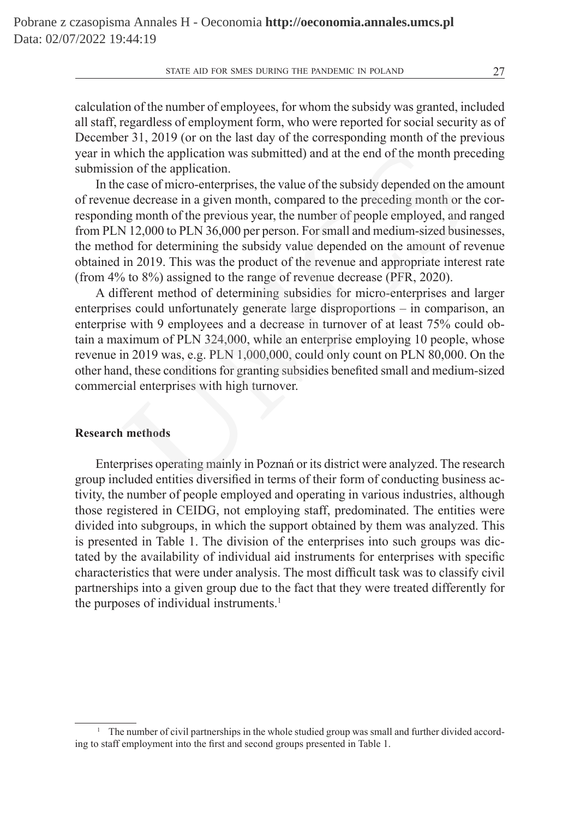calculation of the number of employees, for whom the subsidy was granted, included all staff, regardless of employment form, who were reported for social security as of December 31, 2019 (or on the last day of the corresponding month of the previous year in which the application was submitted) and at the end of the month preceding submission of the application.

In the case of micro-enterprises, the value of the subsidy depended on the amount of revenue decrease in a given month, compared to the preceding month or the corresponding month of the previous year, the number of people employed, and ranged from PLN 12,000 to PLN 36,000 per person. For small and medium-sized businesses, the method for determining the subsidy value depended on the amount of revenue obtained in 2019. This was the product of the revenue and appropriate interest rate (from 4% to 8%) assigned to the range of revenue decrease (PFR, 2020).

A different method of determining subsidies for micro-enterprises and larger enterprises could unfortunately generate large disproportions – in comparison, an enterprise with 9 employees and a decrease in turnover of at least 75% could obtain a maximum of PLN 324,000, while an enterprise employing 10 people, whose revenue in 2019 was, e.g. PLN 1,000,000, could only count on PLN 80,000. On the other hand, these conditions for granting subsidies benefited small and medium-sized commercial enterprises with high turnover. hich the application was submitted) and at the end of the month pre<br>on of the application.<br>consect of micro-enterprises, the value of the subsidy depended on the a<br>cease of micro-enterprises, the value of the subsidy depen

## **Research methods**

Enterprises operating mainly in Poznań or its district were analyzed. The research group included entities diversified in terms of their form of conducting business activity, the number of people employed and operating in various industries, although those registered in CEIDG, not employing staff, predominated. The entities were divided into subgroups, in which the support obtained by them was analyzed. This is presented in Table 1. The division of the enterprises into such groups was dictated by the availability of individual aid instruments for enterprises with specific characteristics that were under analysis. The most difficult task was to classify civil partnerships into a given group due to the fact that they were treated differently for the purposes of individual instruments.<sup>1</sup>

<sup>&</sup>lt;sup>1</sup> The number of civil partnerships in the whole studied group was small and further divided according to staff employment into the first and second groups presented in Table 1.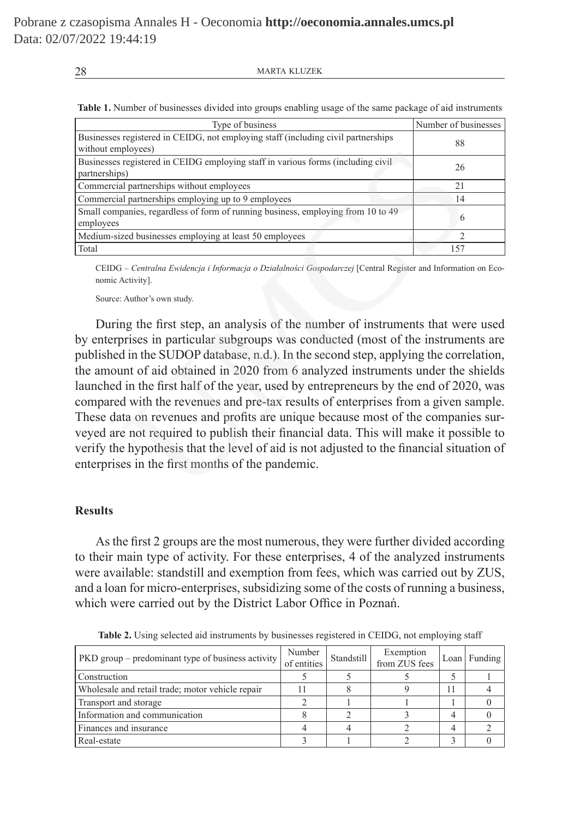**Table 1.** Number of businesses divided into groups enabling usage of the same package of aid instruments

| Type of business                                                                                        | Number of businesses |
|---------------------------------------------------------------------------------------------------------|----------------------|
| Businesses registered in CEIDG, not employing staff (including civil partnerships<br>without employees) | 88                   |
| Businesses registered in CEIDG employing staff in various forms (including civil<br>partnerships)       | 26                   |
| Commercial partnerships without employees                                                               | 21                   |
| Commercial partnerships employing up to 9 employees                                                     | 14                   |
| Small companies, regardless of form of running business, employing from 10 to 49<br>employees           | 6                    |
| Medium-sized businesses employing at least 50 employees                                                 | ∍                    |
| Total                                                                                                   | 157                  |

CEIDG – *Centralna Ewidencja i Informacja o Działalności Gospodarczej* [Central Register and Information on Economic Activity].

Source: Author's own study.

During the first step, an analysis of the number of instruments that were used by enterprises in particular subgroups was conducted (most of the instruments are published in the SUDOP database, n.d.). In the second step, applying the correlation, the amount of aid obtained in 2020 from 6 analyzed instruments under the shields launched in the first half of the year, used by entrepreneurs by the end of 2020, was compared with the revenues and pre-tax results of enterprises from a given sample. These data on revenues and profits are unique because most of the companies surveyed are not required to publish their financial data. This will make it possible to verify the hypothesis that the level of aid is not adjusted to the financial situation of enterprises in the first months of the pandemic. The process contract in CEIDG employing staff in various forms (including civil<br>
126<br>
128<br>
12 Instructships without employees<br>
21<br>
14 Instructships employing up to 9 employees<br>
14<br>
22 Instructships employing at least 50 em

## **Results**

As the first 2 groups are the most numerous, they were further divided according to their main type of activity. For these enterprises, 4 of the analyzed instruments were available: standstill and exemption from fees, which was carried out by ZUS, and a loan for micro-enterprises, subsidizing some of the costs of running a business, which were carried out by the District Labor Office in Poznań.

| $PKD$ group – predominant type of business activity | Number<br>of entities | Standstill | Exemption<br>from ZUS fees | Loan   Funding |
|-----------------------------------------------------|-----------------------|------------|----------------------------|----------------|
| Construction                                        |                       |            |                            |                |
| Wholesale and retail trade; motor vehicle repair    |                       |            |                            |                |
| Transport and storage                               |                       |            |                            |                |
| Information and communication                       |                       |            |                            |                |
| Finances and insurance                              |                       |            |                            |                |
| Real-estate                                         |                       |            |                            |                |

**Table 2.** Using selected aid instruments by businesses registered in CEIDG, not employing staff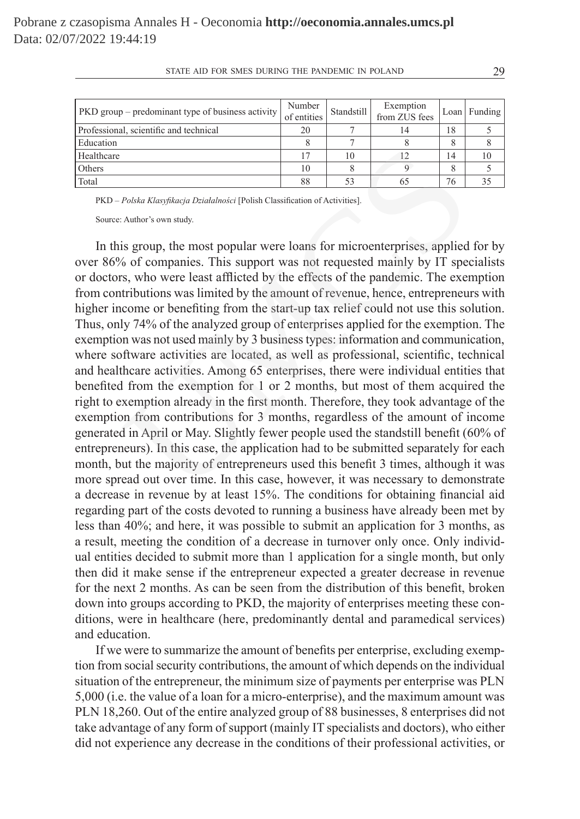| <b>PKD</b> group – predominant type of business activity | Number<br>of entities | Standstill | Exemption<br>from ZUS fees |    | $Loan$ Funding |
|----------------------------------------------------------|-----------------------|------------|----------------------------|----|----------------|
| Professional, scientific and technical                   | 20                    |            | 14                         | 18 |                |
| Education                                                |                       |            |                            | 8  |                |
| Healthcare                                               |                       | 10         | 12                         | 14 | 10             |
| <b>Others</b>                                            | 10                    |            |                            | 8  |                |
| Total                                                    | 88                    | 53         |                            | 76 | 35             |

PKD – *Polska Klasyfikacja Działalności* [Polish Classification of Activities].

Source: Author's own study.

In this group, the most popular were loans for microenterprises, applied for by over 86% of companies. This support was not requested mainly by IT specialists or doctors, who were least afflicted by the effects of the pandemic. The exemption from contributions was limited by the amount of revenue, hence, entrepreneurs with higher income or benefiting from the start-up tax relief could not use this solution. Thus, only 74% of the analyzed group of enterprises applied for the exemption. The exemption was not used mainly by 3 business types: information and communication, where software activities are located, as well as professional, scientific, technical and healthcare activities. Among 65 enterprises, there were individual entities that benefited from the exemption for 1 or 2 months, but most of them acquired the right to exemption already in the first month. Therefore, they took advantage of the exemption from contributions for 3 months, regardless of the amount of income generated in April or May. Slightly fewer people used the standstill benefit (60% of entrepreneurs). In this case, the application had to be submitted separately for each month, but the majority of entrepreneurs used this benefit 3 times, although it was more spread out over time. In this case, however, it was necessary to demonstrate a decrease in revenue by at least 15%. The conditions for obtaining financial aid regarding part of the costs devoted to running a business have already been met by less than 40%; and here, it was possible to submit an application for 3 months, as a result, meeting the condition of a decrease in turnover only once. Only individual entities decided to submit more than 1 application for a single month, but only then did it make sense if the entrepreneur expected a greater decrease in revenue for the next 2 months. As can be seen from the distribution of this benefit, broken down into groups according to PKD, the majority of enterprises meeting these conditions, were in healthcare (here, predominantly dental and paramedical services) and education.  $\frac{17}{8}$   $\frac{10}{10}$   $\frac{12}{8}$   $\frac{14}{9}$   $\frac{10}{8}$   $\frac{17}{8}$   $\frac{10}{8}$   $\frac{12}{8}$   $\frac{14}{88}$   $\frac{10}{53}$   $\frac{18}{65}$   $\frac{76}{76}$   $\frac{188}{768}$   $\frac{1}{768}$   $\frac{1}{768}$   $\frac{1}{768}$   $\frac{1}{768}$   $\frac{1}{768}$   $\frac{1}{768}$ 

If we were to summarize the amount of benefits per enterprise, excluding exemption from social security contributions, the amount of which depends on the individual situation of the entrepreneur, the minimum size of payments per enterprise was PLN 5,000 (i.e. the value of a loan for a micro-enterprise), and the maximum amount was PLN 18,260. Out of the entire analyzed group of 88 businesses, 8 enterprises did not take advantage of any form of support (mainly IT specialists and doctors), who either did not experience any decrease in the conditions of their professional activities, or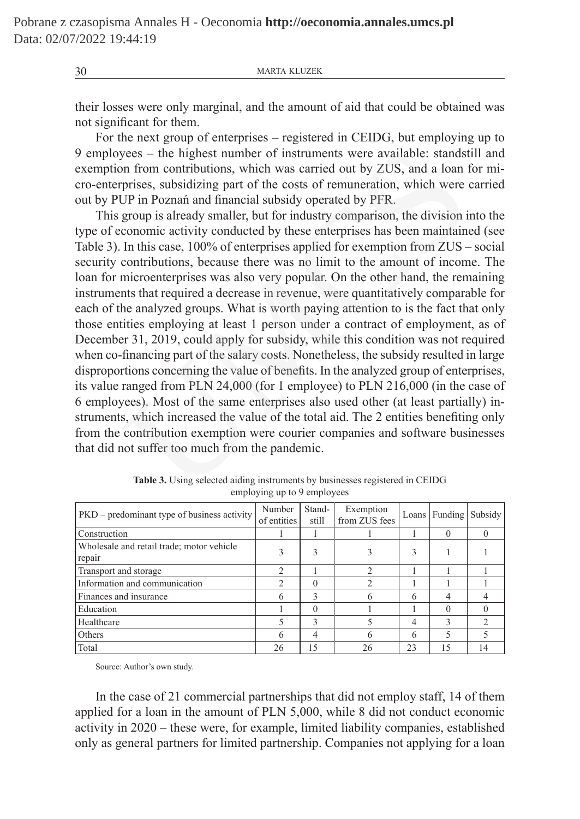their losses were only marginal, and the amount of aid that could be obtained was not significant for them.

For the next group of enterprises – registered in CEIDG, but employing up to 9 employees – the highest number of instruments were available: standstill and exemption from contributions, which was carried out by ZUS, and a loan for micro-enterprises, subsidizing part of the costs of remuneration, which were carried out by PUP in Poznań and financial subsidy operated by PFR.

This group is already smaller, but for industry comparison, the division into the type of economic activity conducted by these enterprises has been maintained (see Table 3). In this case, 100% of enterprises applied for exemption from ZUS – social security contributions, because there was no limit to the amount of income. The loan for microenterprises was also very popular. On the other hand, the remaining instruments that required a decrease in revenue, were quantitatively comparable for each of the analyzed groups. What is worth paying attention to is the fact that only those entities employing at least 1 person under a contract of employment, as of December 31, 2019, could apply for subsidy, while this condition was not required when co-financing part of the salary costs. Nonetheless, the subsidy resulted in large disproportions concerning the value of benefits. In the analyzed group of enterprises, its value ranged from PLN 24,000 (for 1 employee) to PLN 216,000 (in the case of 6 employees). Most of the same enterprises also used other (at least partially) instruments, which increased the value of the total aid. The 2 entities benefiting only from the contribution exemption were courier companies and software businesses that did not suffer too much from the pandemic. yees – the highest number of instruments were available: standst<br>on from contributions, which was carried out by ZUS, and a loan r<br>prises, subsidizing part of the costs of remuneration, which were<br>UP in Poznań and financia

| $PKD$ – predominant type of business activity       | Number<br>of entities | Stand-<br>still | Exemption<br>from ZUS fees | Loans | Funding | Subsidy |
|-----------------------------------------------------|-----------------------|-----------------|----------------------------|-------|---------|---------|
| Construction                                        |                       |                 |                            |       |         |         |
| Wholesale and retail trade; motor vehicle<br>repair |                       |                 |                            |       |         |         |
| Transport and storage                               | 2                     |                 |                            |       |         |         |
| Information and communication                       |                       |                 |                            |       |         |         |
| Finances and insurance                              | 6                     | ς               |                            | 6     |         |         |
| Education                                           |                       |                 |                            |       |         |         |
| Healthcare                                          |                       | ς               |                            | 4     |         |         |
| Others                                              | 6                     | 4               |                            | 6     |         |         |
| Total                                               | 26                    | 15              | 26                         | 23    | 15      |         |

**Table 3.** Using selected aiding instruments by businesses registered in CEIDG employing up to 9 employees

Source: Author's own study.

In the case of 21 commercial partnerships that did not employ staff, 14 of them applied for a loan in the amount of PLN 5,000, while 8 did not conduct economic activity in 2020 – these were, for example, limited liability companies, established only as general partners for limited partnership. Companies not applying for a loan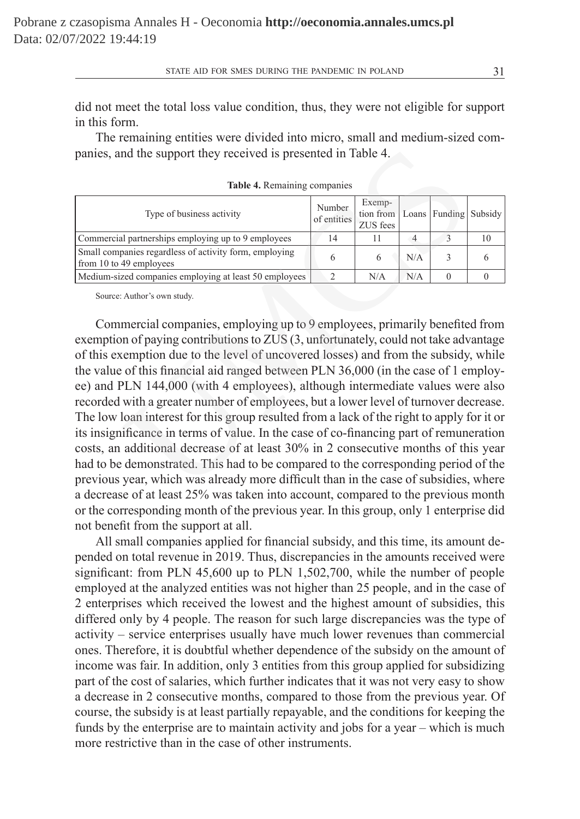did not meet the total loss value condition, thus, they were not eligible for support in this form.

The remaining entities were divided into micro, small and medium-sized companies, and the support they received is presented in Table 4.

| Type of business activity                                                         | Number<br>of entities | Exemp-<br>tion from   Loans   Funding   Subsidy<br>ZUS fees |     |    |
|-----------------------------------------------------------------------------------|-----------------------|-------------------------------------------------------------|-----|----|
| Commercial partnerships employing up to 9 employees                               | 14                    |                                                             |     | 10 |
| Small companies regardless of activity form, employing<br>from 10 to 49 employees |                       |                                                             | N/A |    |
| Medium-sized companies employing at least 50 employees                            |                       | N/A                                                         | N/A |    |

**Table 4.** Remaining companies

Source: Author's own study.

Commercial companies, employing up to 9 employees, primarily benefited from exemption of paying contributions to ZUS (3, unfortunately, could not take advantage of this exemption due to the level of uncovered losses) and from the subsidy, while the value of this financial aid ranged between PLN 36,000 (in the case of 1 employee) and PLN 144,000 (with 4 employees), although intermediate values were also recorded with a greater number of employees, but a lower level of turnover decrease. The low loan interest for this group resulted from a lack of the right to apply for it or its insignificance in terms of value. In the case of co-financing part of remuneration costs, an additional decrease of at least 30% in 2 consecutive months of this year had to be demonstrated. This had to be compared to the corresponding period of the previous year, which was already more difficult than in the case of subsidies, where a decrease of at least 25% was taken into account, compared to the previous month or the corresponding month of the previous year. In this group, only 1 enterprise did not benefit from the support at all. md the support they received is presented in Table 4.<br>
Table 4. Remaining companies<br>
Type of business activity<br>
Type of business activity<br>
all partnerships employing up to 9 employees<br>
49 employees<br>
49 employees<br>
49 emplo

All small companies applied for financial subsidy, and this time, its amount depended on total revenue in 2019. Thus, discrepancies in the amounts received were significant: from PLN 45,600 up to PLN 1,502,700, while the number of people employed at the analyzed entities was not higher than 25 people, and in the case of 2 enterprises which received the lowest and the highest amount of subsidies, this differed only by 4 people. The reason for such large discrepancies was the type of activity – service enterprises usually have much lower revenues than commercial ones. Therefore, it is doubtful whether dependence of the subsidy on the amount of income was fair. In addition, only 3 entities from this group applied for subsidizing part of the cost of salaries, which further indicates that it was not very easy to show a decrease in 2 consecutive months, compared to those from the previous year. Of course, the subsidy is at least partially repayable, and the conditions for keeping the funds by the enterprise are to maintain activity and jobs for a year – which is much more restrictive than in the case of other instruments.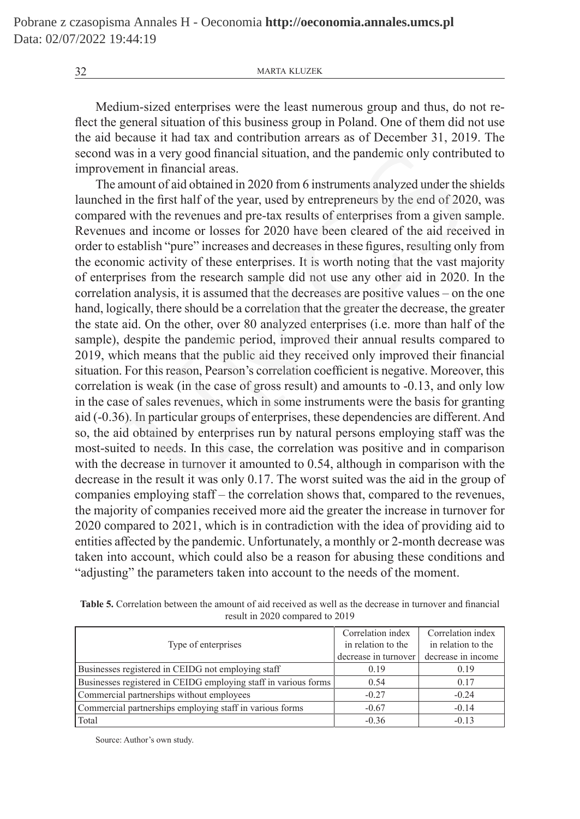Medium-sized enterprises were the least numerous group and thus, do not reflect the general situation of this business group in Poland. One of them did not use the aid because it had tax and contribution arrears as of December 31, 2019. The second was in a very good financial situation, and the pandemic only contributed to improvement in financial areas.

The amount of aid obtained in 2020 from 6 instruments analyzed under the shields launched in the first half of the year, used by entrepreneurs by the end of 2020, was compared with the revenues and pre-tax results of enterprises from a given sample. Revenues and income or losses for 2020 have been cleared of the aid received in order to establish "pure" increases and decreases in these figures, resulting only from the economic activity of these enterprises. It is worth noting that the vast majority of enterprises from the research sample did not use any other aid in 2020. In the correlation analysis, it is assumed that the decreases are positive values – on the one hand, logically, there should be a correlation that the greater the decrease, the greater the state aid. On the other, over 80 analyzed enterprises (i.e. more than half of the sample), despite the pandemic period, improved their annual results compared to 2019, which means that the public aid they received only improved their financial situation. For this reason, Pearson's correlation coefficient is negative. Moreover, this correlation is weak (in the case of gross result) and amounts to -0.13, and only low in the case of sales revenues, which in some instruments were the basis for granting aid (-0.36). In particular groups of enterprises, these dependencies are different. And so, the aid obtained by enterprises run by natural persons employing staff was the most-suited to needs. In this case, the correlation was positive and in comparison with the decrease in turnover it amounted to 0.54, although in comparison with the decrease in the result it was only 0.17. The worst suited was the aid in the group of companies employing staff – the correlation shows that, compared to the revenues, the majority of companies received more aid the greater the increase in turnover for 2020 compared to 2021, which is in contradiction with the idea of providing aid to entities affected by the pandemic. Unfortunately, a monthly or 2-month decrease was taken into account, which could also be a reason for abusing these conditions and "adjusting" the parameters taken into account to the needs of the moment. vas in a very good financial situation, and the pandemic only contrib<br>ment in financial areas.<br>momount of aid obtained in 2020 from 6 instruments analyzed under the<br>l in the first half of the year, used by entrepreneurs by

| $\frac{1}{2}$ esuit in 2020 compared to 2019                    |                                                                 |                                                               |  |  |
|-----------------------------------------------------------------|-----------------------------------------------------------------|---------------------------------------------------------------|--|--|
| Type of enterprises                                             | Correlation index<br>in relation to the<br>decrease in turnover | Correlation index<br>in relation to the<br>decrease in income |  |  |
| Businesses registered in CEIDG not employing staff              | 0.19                                                            | 0.19                                                          |  |  |
| Businesses registered in CEIDG employing staff in various forms | 0.54                                                            | 0 17                                                          |  |  |
|                                                                 |                                                                 |                                                               |  |  |

Commercial partnerships without employees  $-0.27$  -0.24 Commercial partnerships employing staff in various forms  $-0.67$   $-0.14$ Total  $-0.13$   $-0.36$   $-0.13$ 

**Table 5.** Correlation between the amount of aid received as well as the decrease in turnover and financial result in 2020 compared to 2019

Source: Author's own study.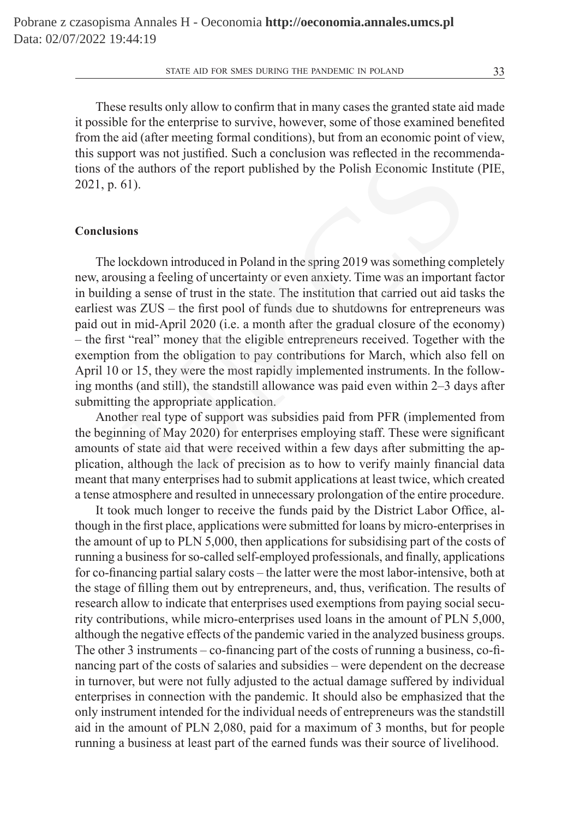These results only allow to confirm that in many cases the granted state aid made it possible for the enterprise to survive, however, some of those examined benefited from the aid (after meeting formal conditions), but from an economic point of view, this support was not justified. Such a conclusion was reflected in the recommendations of the authors of the report published by the Polish Economic Institute (PIE, 2021, p. 61).

## **Conclusions**

The lockdown introduced in Poland in the spring 2019 was something completely new, arousing a feeling of uncertainty or even anxiety. Time was an important factor in building a sense of trust in the state. The institution that carried out aid tasks the earliest was ZUS – the first pool of funds due to shutdowns for entrepreneurs was paid out in mid-April 2020 (i.e. a month after the gradual closure of the economy) – the first "real" money that the eligible entrepreneurs received. Together with the exemption from the obligation to pay contributions for March, which also fell on April 10 or 15, they were the most rapidly implemented instruments. In the following months (and still), the standstill allowance was paid even within 2–3 days after submitting the appropriate application. ort was not justified. Such a conclusion was reflected in the recomment the authors of the report published by the Polish Economic Institute 61).<br> **ons**<br> **ons**<br> **ons**<br> **ons**<br> **ons**<br> **ons**<br> **ons**<br> **ons**<br> **ons**<br> **ons**<br> **ons** 

Another real type of support was subsidies paid from PFR (implemented from the beginning of May 2020) for enterprises employing staff. These were significant amounts of state aid that were received within a few days after submitting the application, although the lack of precision as to how to verify mainly financial data meant that many enterprises had to submit applications at least twice, which created a tense atmosphere and resulted in unnecessary prolongation of the entire procedure.

It took much longer to receive the funds paid by the District Labor Office, although in the first place, applications were submitted for loans by micro-enterprises in the amount of up to PLN 5,000, then applications for subsidising part of the costs of running a business for so-called self-employed professionals, and finally, applications for co-financing partial salary costs – the latter were the most labor-intensive, both at the stage of filling them out by entrepreneurs, and, thus, verification. The results of research allow to indicate that enterprises used exemptions from paying social security contributions, while micro-enterprises used loans in the amount of PLN 5,000, although the negative effects of the pandemic varied in the analyzed business groups. The other 3 instruments – co-financing part of the costs of running a business, co-financing part of the costs of salaries and subsidies – were dependent on the decrease in turnover, but were not fully adjusted to the actual damage suffered by individual enterprises in connection with the pandemic. It should also be emphasized that the only instrument intended for the individual needs of entrepreneurs was the standstill aid in the amount of PLN 2,080, paid for a maximum of 3 months, but for people running a business at least part of the earned funds was their source of livelihood.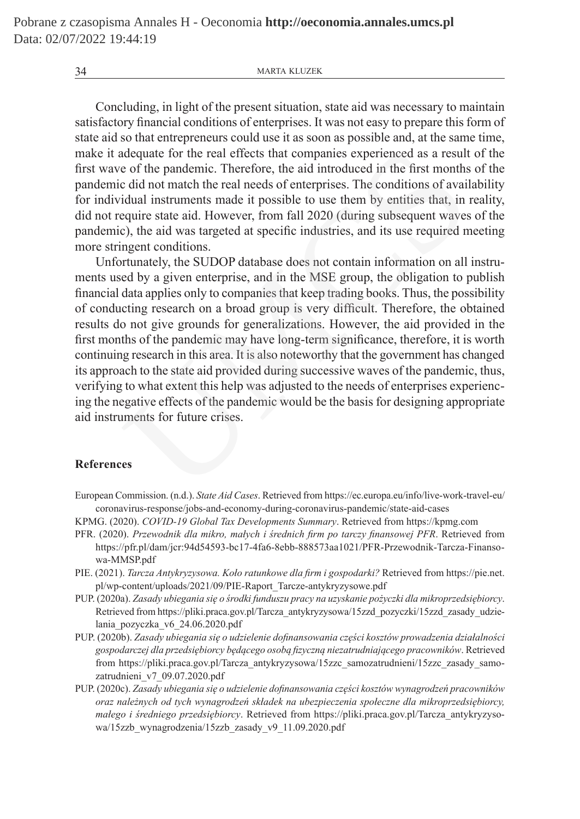Concluding, in light of the present situation, state aid was necessary to maintain satisfactory financial conditions of enterprises. It was not easy to prepare this form of state aid so that entrepreneurs could use it as soon as possible and, at the same time, make it adequate for the real effects that companies experienced as a result of the first wave of the pandemic. Therefore, the aid introduced in the first months of the pandemic did not match the real needs of enterprises. The conditions of availability for individual instruments made it possible to use them by entities that, in reality, did not require state aid. However, from fall 2020 (during subsequent waves of the pandemic), the aid was targeted at specific industries, and its use required meeting more stringent conditions.

Unfortunately, the SUDOP database does not contain information on all instruments used by a given enterprise, and in the MSE group, the obligation to publish financial data applies only to companies that keep trading books. Thus, the possibility of conducting research on a broad group is very difficult. Therefore, the obtained results do not give grounds for generalizations. However, the aid provided in the first months of the pandemic may have long-term significance, therefore, it is worth continuing research in this area. It is also noteworthy that the government has changed its approach to the state aid provided during successive waves of the pandemic, thus, verifying to what extent this help was adjusted to the needs of enterprises experiencing the negative effects of the pandemic would be the basis for designing appropriate aid instruments for future crises. adequate for the real effects that companies experienced as a result<br>of the pandemic. Therefore, the aid introduced in the first months<br>c did not match the real needs of enterprises. The conditions of avail<br>idual instrumen

## **References**

- European Commission. (n.d.). *State Aid Cases*. Retrieved from https://ec.europa.eu/info/live-work-travel-eu/ coronavirus-response/jobs-and-economy-during-coronavirus-pandemic/state-aid-cases
- KPMG. (2020). *COVID-19 Global Tax Developments Summary*. Retrieved from https://kpmg.com
- PFR. (2020). *Przewodnik dla mikro, małych i średnich firm po tarczy finansowej PFR*. Retrieved from https://pfr.pl/dam/jcr:94d54593-bc17-4fa6-8ebb-888573aa1021/PFR-Przewodnik-Tarcza-Finansowa-MMSP.pdf
- PIE. (2021). *Tarcza Antykryzysowa. Koło ratunkowe dla firm i gospodarki?* Retrieved from https://pie.net. pl/wp-content/uploads/2021/09/PIE-Raport\_Tarcze-antykryzysowe.pdf
- PUP. (2020a). *Zasady ubiegania się o środki funduszu pracy na uzyskanie pożyczki dla mikroprzedsiębiorcy*. Retrieved from https://pliki.praca.gov.pl/Tarcza\_antykryzysowa/15zzd\_pozyczki/15zzd\_zasady\_udzielania\_pozyczka\_v6\_24.06.2020.pdf
- PUP. (2020b). *Zasady ubiegania się o udzielenie dofinansowania części kosztów prowadzenia działalności gospodarczej dla przedsiębiorcy będącego osobą fizyczną niezatrudniającego pracowników*. Retrieved from https://pliki.praca.gov.pl/Tarcza\_antykryzysowa/15zzc\_samozatrudnieni/15zzc\_zasady\_samozatrudnieni\_v7\_09.07.2020.pdf
- PUP. (2020c). *Zasady ubiegania się o udzielenie dofinansowania części kosztów wynagrodzeń pracowników oraz należnych od tych wynagrodzeń składek na ubezpieczenia społeczne dla mikroprzedsiębiorcy, małego i średniego przedsiębiorcy*. Retrieved from https://pliki.praca.gov.pl/Tarcza\_antykryzysowa/15zzb\_wynagrodzenia/15zzb\_zasady\_v9\_11.09.2020.pdf